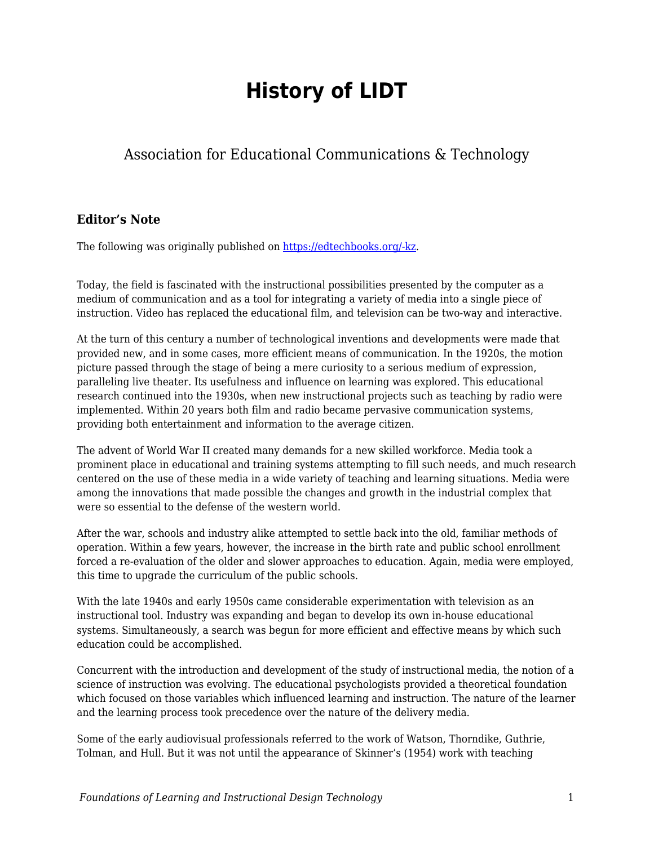## **History of LIDT**

## Association for Educational Communications & Technology

## **Editor's Note**

The following was originally published on [https://edtechbooks.org/-kz.](http://www.aect.org/standards/history.html)

Today, the field is fascinated with the instructional possibilities presented by the computer as a medium of communication and as a tool for integrating a variety of media into a single piece of instruction. Video has replaced the educational film, and television can be two-way and interactive.

At the turn of this century a number of technological inventions and developments were made that provided new, and in some cases, more efficient means of communication. In the 1920s, the motion picture passed through the stage of being a mere curiosity to a serious medium of expression, paralleling live theater. Its usefulness and influence on learning was explored. This educational research continued into the 1930s, when new instructional projects such as teaching by radio were implemented. Within 20 years both film and radio became pervasive communication systems, providing both entertainment and information to the average citizen.

The advent of World War II created many demands for a new skilled workforce. Media took a prominent place in educational and training systems attempting to fill such needs, and much research centered on the use of these media in a wide variety of teaching and learning situations. Media were among the innovations that made possible the changes and growth in the industrial complex that were so essential to the defense of the western world.

After the war, schools and industry alike attempted to settle back into the old, familiar methods of operation. Within a few years, however, the increase in the birth rate and public school enrollment forced a re-evaluation of the older and slower approaches to education. Again, media were employed, this time to upgrade the curriculum of the public schools.

With the late 1940s and early 1950s came considerable experimentation with television as an instructional tool. Industry was expanding and began to develop its own in-house educational systems. Simultaneously, a search was begun for more efficient and effective means by which such education could be accomplished.

Concurrent with the introduction and development of the study of instructional media, the notion of a science of instruction was evolving. The educational psychologists provided a theoretical foundation which focused on those variables which influenced learning and instruction. The nature of the learner and the learning process took precedence over the nature of the delivery media.

Some of the early audiovisual professionals referred to the work of Watson, Thorndike, Guthrie, Tolman, and Hull. But it was not until the appearance of Skinner's (1954) work with teaching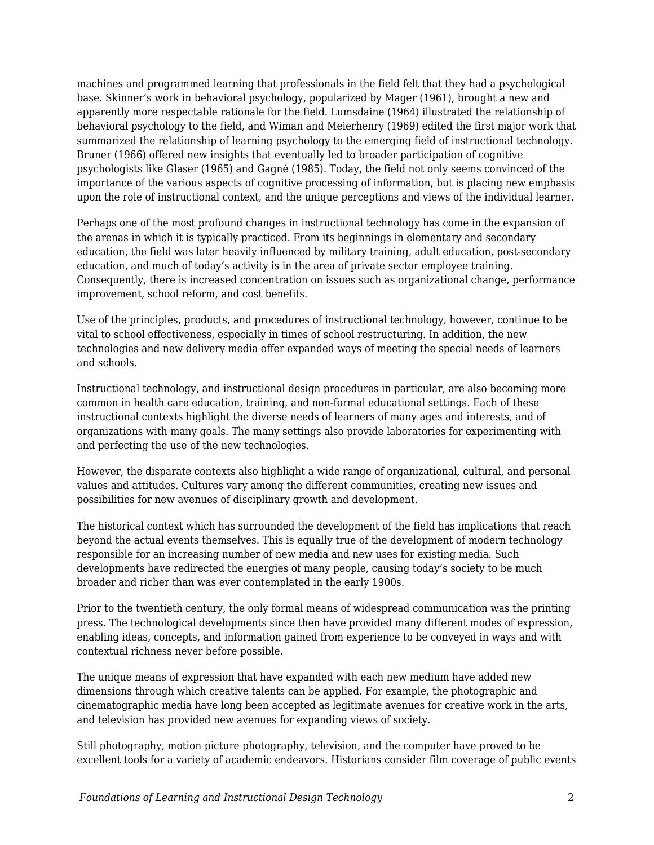machines and programmed learning that professionals in the field felt that they had a psychological base. Skinner's work in behavioral psychology, popularized by Mager (1961), brought a new and apparently more respectable rationale for the field. Lumsdaine (1964) illustrated the relationship of behavioral psychology to the field, and Wiman and Meierhenry (1969) edited the first major work that summarized the relationship of learning psychology to the emerging field of instructional technology. Bruner (1966) offered new insights that eventually led to broader participation of cognitive psychologists like Glaser (1965) and Gagné (1985). Today, the field not only seems convinced of the importance of the various aspects of cognitive processing of information, but is placing new emphasis upon the role of instructional context, and the unique perceptions and views of the individual learner.

Perhaps one of the most profound changes in instructional technology has come in the expansion of the arenas in which it is typically practiced. From its beginnings in elementary and secondary education, the field was later heavily influenced by military training, adult education, post-secondary education, and much of today's activity is in the area of private sector employee training. Consequently, there is increased concentration on issues such as organizational change, performance improvement, school reform, and cost benefits.

Use of the principles, products, and procedures of instructional technology, however, continue to be vital to school effectiveness, especially in times of school restructuring. In addition, the new technologies and new delivery media offer expanded ways of meeting the special needs of learners and schools.

Instructional technology, and instructional design procedures in particular, are also becoming more common in health care education, training, and non-formal educational settings. Each of these instructional contexts highlight the diverse needs of learners of many ages and interests, and of organizations with many goals. The many settings also provide laboratories for experimenting with and perfecting the use of the new technologies.

However, the disparate contexts also highlight a wide range of organizational, cultural, and personal values and attitudes. Cultures vary among the different communities, creating new issues and possibilities for new avenues of disciplinary growth and development.

The historical context which has surrounded the development of the field has implications that reach beyond the actual events themselves. This is equally true of the development of modern technology responsible for an increasing number of new media and new uses for existing media. Such developments have redirected the energies of many people, causing today's society to be much broader and richer than was ever contemplated in the early 1900s.

Prior to the twentieth century, the only formal means of widespread communication was the printing press. The technological developments since then have provided many different modes of expression, enabling ideas, concepts, and information gained from experience to be conveyed in ways and with contextual richness never before possible.

The unique means of expression that have expanded with each new medium have added new dimensions through which creative talents can be applied. For example, the photographic and cinematographic media have long been accepted as legitimate avenues for creative work in the arts, and television has provided new avenues for expanding views of society.

Still photography, motion picture photography, television, and the computer have proved to be excellent tools for a variety of academic endeavors. Historians consider film coverage of public events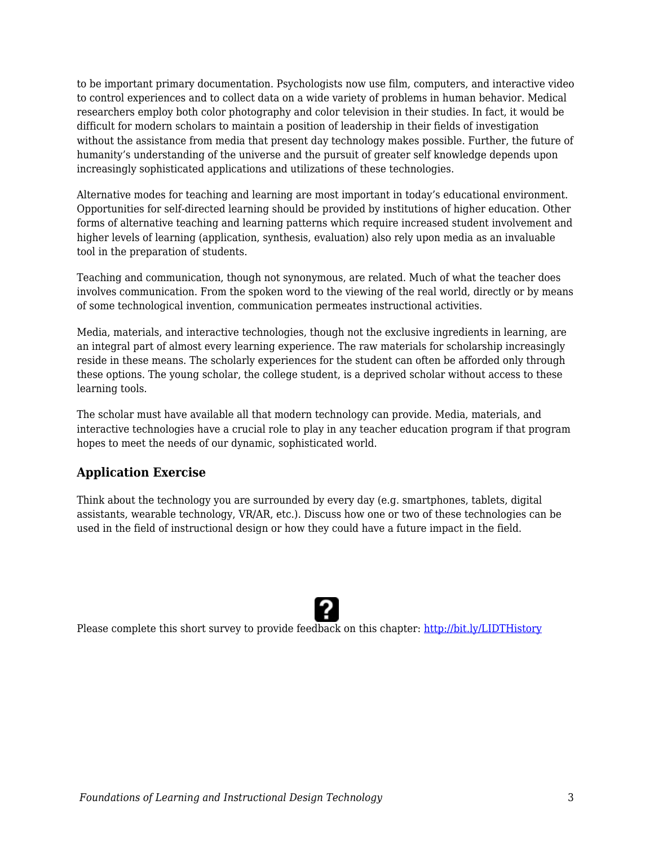to be important primary documentation. Psychologists now use film, computers, and interactive video to control experiences and to collect data on a wide variety of problems in human behavior. Medical researchers employ both color photography and color television in their studies. In fact, it would be difficult for modern scholars to maintain a position of leadership in their fields of investigation without the assistance from media that present day technology makes possible. Further, the future of humanity's understanding of the universe and the pursuit of greater self knowledge depends upon increasingly sophisticated applications and utilizations of these technologies.

Alternative modes for teaching and learning are most important in today's educational environment. Opportunities for self-directed learning should be provided by institutions of higher education. Other forms of alternative teaching and learning patterns which require increased student involvement and higher levels of learning (application, synthesis, evaluation) also rely upon media as an invaluable tool in the preparation of students.

Teaching and communication, though not synonymous, are related. Much of what the teacher does involves communication. From the spoken word to the viewing of the real world, directly or by means of some technological invention, communication permeates instructional activities.

Media, materials, and interactive technologies, though not the exclusive ingredients in learning, are an integral part of almost every learning experience. The raw materials for scholarship increasingly reside in these means. The scholarly experiences for the student can often be afforded only through these options. The young scholar, the college student, is a deprived scholar without access to these learning tools.

The scholar must have available all that modern technology can provide. Media, materials, and interactive technologies have a crucial role to play in any teacher education program if that program hopes to meet the needs of our dynamic, sophisticated world.

## **Application Exercise**

Think about the technology you are surrounded by every day (e.g. smartphones, tablets, digital assistants, wearable technology, VR/AR, etc.). Discuss how one or two of these technologies can be used in the field of instructional design or how they could have a future impact in the field.



Please complete this short survey to provide feedback on this chapter: <http://bit.ly/LIDTHistory>